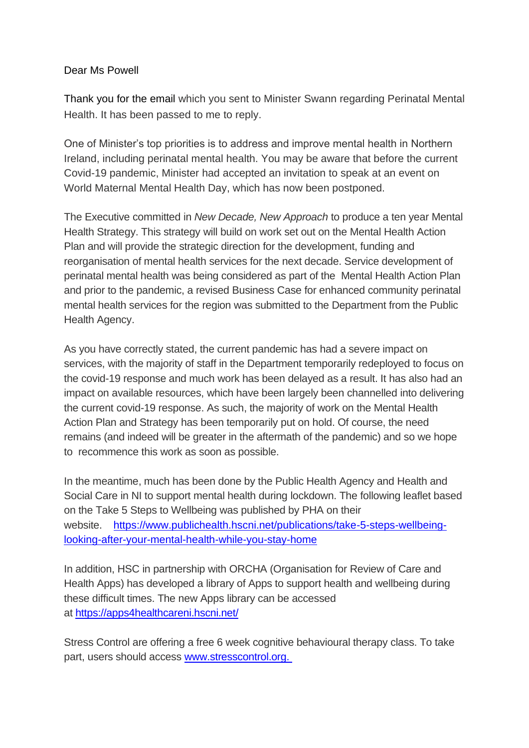## Dear Ms Powell

Thank you for the email which you sent to Minister Swann regarding Perinatal Mental Health. It has been passed to me to reply.

One of Minister's top priorities is to address and improve mental health in Northern Ireland, including perinatal mental health. You may be aware that before the current Covid-19 pandemic, Minister had accepted an invitation to speak at an event on World Maternal Mental Health Day, which has now been postponed.

The Executive committed in *New Decade, New Approach* to produce a ten year Mental Health Strategy. This strategy will build on work set out on the Mental Health Action Plan and will provide the strategic direction for the development, funding and reorganisation of mental health services for the next decade. Service development of perinatal mental health was being considered as part of the Mental Health Action Plan and prior to the pandemic, a revised Business Case for enhanced community perinatal mental health services for the region was submitted to the Department from the Public Health Agency.

As you have correctly stated, the current pandemic has had a severe impact on services, with the majority of staff in the Department temporarily redeployed to focus on the covid-19 response and much work has been delayed as a result. It has also had an impact on available resources, which have been largely been channelled into delivering the current covid-19 response. As such, the majority of work on the Mental Health Action Plan and Strategy has been temporarily put on hold. Of course, the need remains (and indeed will be greater in the aftermath of the pandemic) and so we hope to recommence this work as soon as possible.

In the meantime, much has been done by the Public Health Agency and Health and Social Care in NI to support mental health during lockdown. The following leaflet based on the Take 5 Steps to Wellbeing was published by PHA on their website. [https://www.publichealth.hscni.net/publications/take-5-steps-wellbeing](https://www.publichealth.hscni.net/publications/take-5-steps-wellbeing-looking-after-your-mental-health-while-you-stay-home)[looking-after-your-mental-health-while-you-stay-home](https://www.publichealth.hscni.net/publications/take-5-steps-wellbeing-looking-after-your-mental-health-while-you-stay-home)

In addition, HSC in partnership with ORCHA (Organisation for Review of Care and Health Apps) has developed a library of Apps to support health and wellbeing during these difficult times. The new Apps library can be accessed at <https://apps4healthcareni.hscni.net/>

Stress Control are offering a free 6 week cognitive behavioural therapy class. To take part, users should access [www.stresscontrol.org.](http://www.stresscontrol.org/)